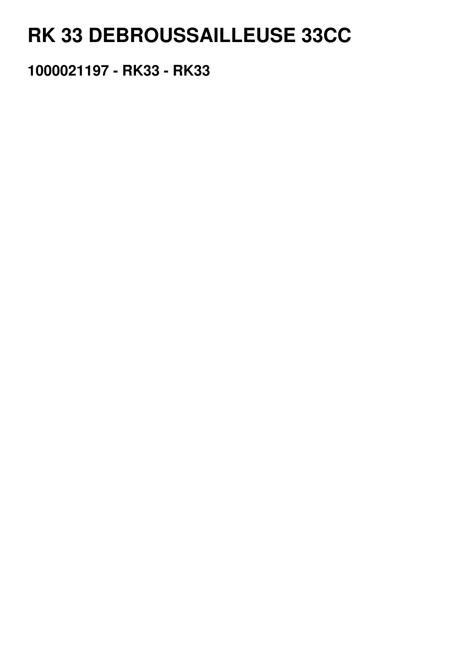## RK 33 DEBROUSSAILLEUSE 33CC

1000021197 - RK33 - RK33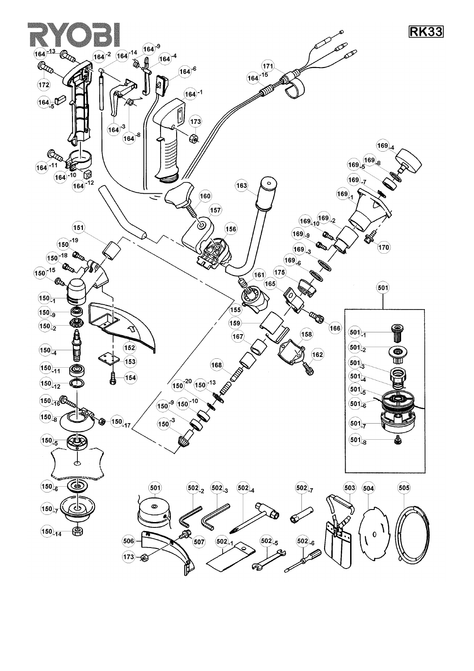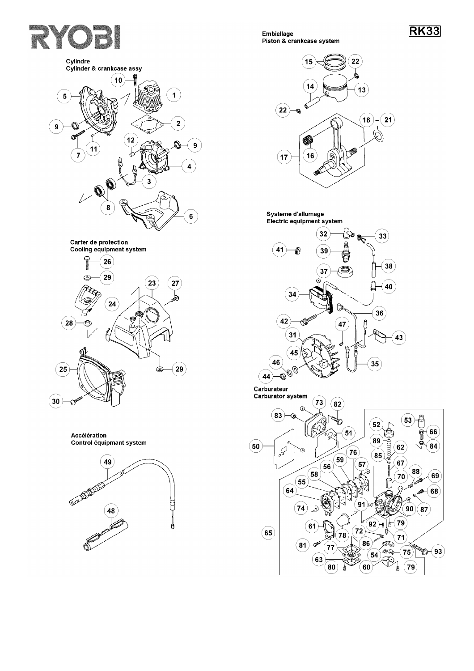## RYOB







Accélération Control équipmant system



Embiellage Piston & crankcase system



## Systeme d'allumage Electric equipment system



Carburateur Carburator system

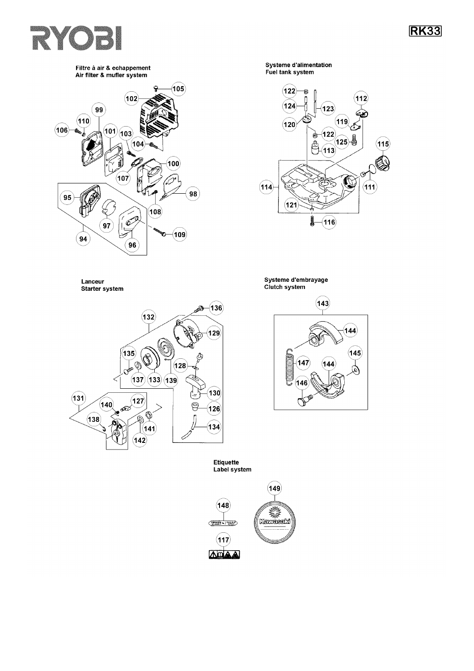## RYOBI

**RK33** 

Filtre à air & echappement Air filter & mufler system



Systeme d'alimentation Fuel tank system



Lanceur **Starter system** 



Systeme d'embrayage Clutch system

> $(143)$  $(144)$  $(145)$  $(147$  $(144)$  $\omega$ 146  $\mathcal{Q}$

Etiquette<br>Label system

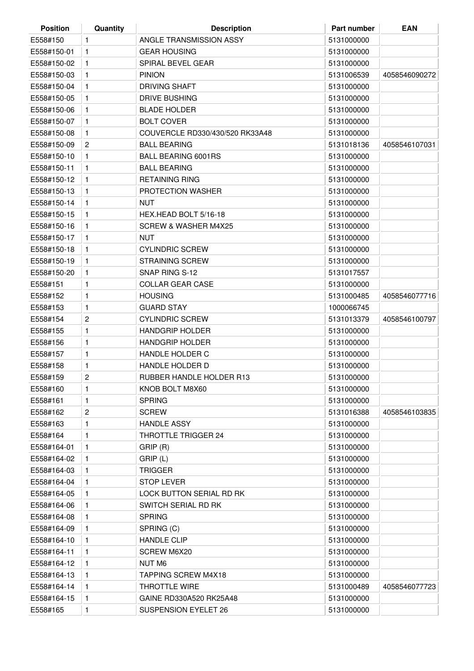| <b>Position</b> | Quantity                | <b>Description</b>              | Part number | <b>EAN</b>    |
|-----------------|-------------------------|---------------------------------|-------------|---------------|
| E558#150        | 1                       | ANGLE TRANSMISSION ASSY         | 5131000000  |               |
| E558#150-01     | 1                       | <b>GEAR HOUSING</b>             | 5131000000  |               |
| E558#150-02     | 1                       | SPIRAL BEVEL GEAR               | 5131000000  |               |
| E558#150-03     | 1                       | <b>PINION</b>                   | 5131006539  | 4058546090272 |
| E558#150-04     | 1                       | <b>DRIVING SHAFT</b>            | 5131000000  |               |
| E558#150-05     | 1                       | <b>DRIVE BUSHING</b>            | 5131000000  |               |
| E558#150-06     | 1                       | <b>BLADE HOLDER</b>             | 5131000000  |               |
| E558#150-07     | 1                       | <b>BOLT COVER</b>               | 5131000000  |               |
| E558#150-08     | 1                       | COUVERCLE RD330/430/520 RK33A48 | 5131000000  |               |
| E558#150-09     | $\mathbf{2}$            | <b>BALL BEARING</b>             | 5131018136  | 4058546107031 |
| E558#150-10     | 1                       | <b>BALL BEARING 6001RS</b>      | 5131000000  |               |
| E558#150-11     | 1                       | <b>BALL BEARING</b>             | 5131000000  |               |
| E558#150-12     | 1                       | <b>RETAINING RING</b>           | 5131000000  |               |
| E558#150-13     | 1                       | <b>PROTECTION WASHER</b>        | 5131000000  |               |
| E558#150-14     | 1                       | NUT                             | 5131000000  |               |
| E558#150-15     | 1                       | HEX.HEAD BOLT 5/16-18           | 5131000000  |               |
| E558#150-16     | 1                       | <b>SCREW &amp; WASHER M4X25</b> | 5131000000  |               |
| E558#150-17     | 1                       | <b>NUT</b>                      | 5131000000  |               |
| E558#150-18     | 1                       | <b>CYLINDRIC SCREW</b>          | 5131000000  |               |
| E558#150-19     | 1                       | <b>STRAINING SCREW</b>          | 5131000000  |               |
| E558#150-20     | 1                       | SNAP RING S-12                  | 5131017557  |               |
| E558#151        | 1                       | <b>COLLAR GEAR CASE</b>         | 5131000000  |               |
| E558#152        | 1                       | <b>HOUSING</b>                  | 5131000485  | 4058546077716 |
| E558#153        | 1                       | <b>GUARD STAY</b>               | 1000066745  |               |
| E558#154        | $\overline{\mathbf{c}}$ | <b>CYLINDRIC SCREW</b>          | 5131013379  | 4058546100797 |
| E558#155        | 1                       | <b>HANDGRIP HOLDER</b>          | 5131000000  |               |
| E558#156        | 1                       | <b>HANDGRIP HOLDER</b>          | 5131000000  |               |
| E558#157        | 1                       | <b>HANDLE HOLDER C</b>          | 5131000000  |               |
| E558#158        | 1                       | HANDLE HOLDER D                 | 5131000000  |               |
| E558#159        | 2                       | RUBBER HANDLE HOLDER R13        | 5131000000  |               |
| E558#160        | 1                       | KNOB BOLT M8X60                 | 5131000000  |               |
| E558#161        | 1                       | <b>SPRING</b>                   | 5131000000  |               |
| E558#162        | $\overline{c}$          | <b>SCREW</b>                    | 5131016388  | 4058546103835 |
| E558#163        | 1                       | <b>HANDLE ASSY</b>              | 5131000000  |               |
| E558#164        | 1                       | THROTTLE TRIGGER 24             | 5131000000  |               |
| E558#164-01     | 1                       | GRIP (R)                        | 5131000000  |               |
| E558#164-02     | 1                       | GRIP (L)                        | 5131000000  |               |
| E558#164-03     | 1.                      | <b>TRIGGER</b>                  | 5131000000  |               |
| E558#164-04     | 1                       | <b>STOP LEVER</b>               | 5131000000  |               |
| E558#164-05     | 1                       | <b>LOCK BUTTON SERIAL RD RK</b> | 5131000000  |               |
| E558#164-06     | 1.                      | SWITCH SERIAL RD RK             | 5131000000  |               |
| E558#164-08     | 1                       | <b>SPRING</b>                   | 5131000000  |               |
| E558#164-09     | 1.                      | SPRING (C)                      | 5131000000  |               |
| E558#164-10     | 1                       | <b>HANDLE CLIP</b>              | 5131000000  |               |
| E558#164-11     | 1                       | SCREW M6X20                     | 5131000000  |               |
| E558#164-12     | 1                       | NUT M6                          | 5131000000  |               |
| E558#164-13     | 1.                      | <b>TAPPING SCREW M4X18</b>      | 5131000000  |               |
| E558#164-14     | $\mathbf{1}$            | THROTTLE WIRE                   | 5131000489  | 4058546077723 |
| E558#164-15     | 1                       | GAINE RD330A520 RK25A48         | 5131000000  |               |
| E558#165        | 1                       | SUSPENSION EYELET 26            | 5131000000  |               |
|                 |                         |                                 |             |               |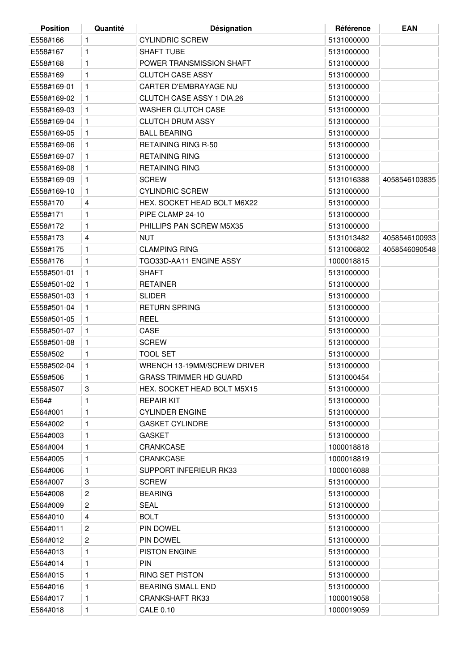| <b>Position</b> | Quantité       | <b>Désignation</b>               | Référence  | <b>EAN</b>    |
|-----------------|----------------|----------------------------------|------------|---------------|
| E558#166        | 1              | <b>CYLINDRIC SCREW</b>           | 5131000000 |               |
| E558#167        | 1              | <b>SHAFT TUBE</b>                | 5131000000 |               |
| E558#168        | 1              | POWER TRANSMISSION SHAFT         | 5131000000 |               |
| E558#169        | $\mathbf{1}$   | <b>CLUTCH CASE ASSY</b>          | 5131000000 |               |
| E558#169-01     | $\mathbf{1}$   | CARTER D'EMBRAYAGE NU            | 5131000000 |               |
| E558#169-02     | 1              | <b>CLUTCH CASE ASSY 1 DIA.26</b> | 5131000000 |               |
| E558#169-03     | 1              | <b>WASHER CLUTCH CASE</b>        | 5131000000 |               |
| E558#169-04     | 1              | <b>CLUTCH DRUM ASSY</b>          | 5131000000 |               |
| E558#169-05     | 1              | <b>BALL BEARING</b>              | 5131000000 |               |
| E558#169-06     | 1              | <b>RETAINING RING R-50</b>       | 5131000000 |               |
| E558#169-07     | $\mathbf{1}$   | <b>RETAINING RING</b>            | 5131000000 |               |
| E558#169-08     | 1              | <b>RETAINING RING</b>            | 5131000000 |               |
| E558#169-09     | $\mathbf{1}$   | <b>SCREW</b>                     | 5131016388 | 4058546103835 |
| E558#169-10     | 1              | <b>CYLINDRIC SCREW</b>           | 5131000000 |               |
| E558#170        | 4              | HEX. SOCKET HEAD BOLT M6X22      | 5131000000 |               |
| E558#171        | 1              | PIPE CLAMP 24-10                 | 5131000000 |               |
| E558#172        | 1              | PHILLIPS PAN SCREW M5X35         | 5131000000 |               |
| E558#173        | 4              | <b>NUT</b>                       | 5131013482 | 4058546100933 |
| E558#175        | 1              | <b>CLAMPING RING</b>             | 5131006802 | 4058546090548 |
| E558#176        | 1              | TGO33D-AA11 ENGINE ASSY          | 1000018815 |               |
| E558#501-01     | $\mathbf{1}$   | <b>SHAFT</b>                     | 5131000000 |               |
| E558#501-02     |                | <b>RETAINER</b>                  | 5131000000 |               |
| E558#501-03     | 1<br>1         | <b>SLIDER</b>                    | 5131000000 |               |
|                 |                | <b>RETURN SPRING</b>             |            |               |
| E558#501-04     | 1              |                                  | 5131000000 |               |
| E558#501-05     | 1              | <b>REEL</b>                      | 5131000000 |               |
| E558#501-07     | 1              | CASE                             | 5131000000 |               |
| E558#501-08     | 1              | <b>SCREW</b>                     | 5131000000 |               |
| E558#502        | 1              | <b>TOOL SET</b>                  | 5131000000 |               |
| E558#502-04     | 1              | WRENCH 13-19MM/SCREW DRIVER      | 5131000000 |               |
| E558#506        | $\mathbf{1}$   | <b>GRASS TRIMMER HD GUARD</b>    | 5131000454 |               |
| E558#507        | 3              | HEX. SOCKET HEAD BOLT M5X15      | 5131000000 |               |
| E564#           | 1              | <b>REPAIR KIT</b>                | 5131000000 |               |
| E564#001        | 1              | <b>CYLINDER ENGINE</b>           | 5131000000 |               |
| E564#002        | 1              | <b>GASKET CYLINDRE</b>           | 5131000000 |               |
| E564#003        | 1              | <b>GASKET</b>                    | 5131000000 |               |
| E564#004        | 1              | CRANKCASE                        | 1000018818 |               |
| E564#005        | 1              | <b>CRANKCASE</b>                 | 1000018819 |               |
| E564#006        | 1              | SUPPORT INFERIEUR RK33           | 1000016088 |               |
| E564#007        | 3              | <b>SCREW</b>                     | 5131000000 |               |
| E564#008        | 2              | <b>BEARING</b>                   | 5131000000 |               |
| E564#009        | $\overline{c}$ | <b>SEAL</b>                      | 5131000000 |               |
| E564#010        | 4              | <b>BOLT</b>                      | 5131000000 |               |
| E564#011        | $\overline{c}$ | <b>PIN DOWEL</b>                 | 5131000000 |               |
| E564#012        | $\overline{c}$ | PIN DOWEL                        | 5131000000 |               |
| E564#013        | 1              | <b>PISTON ENGINE</b>             | 5131000000 |               |
| E564#014        | 1              | <b>PIN</b>                       | 5131000000 |               |
| E564#015        | 1              | RING SET PISTON                  | 5131000000 |               |
| E564#016        | 1              | <b>BEARING SMALL END</b>         | 5131000000 |               |
| E564#017        | 1              | <b>CRANKSHAFT RK33</b>           | 1000019058 |               |
| E564#018        | 1              | <b>CALE 0.10</b>                 | 1000019059 |               |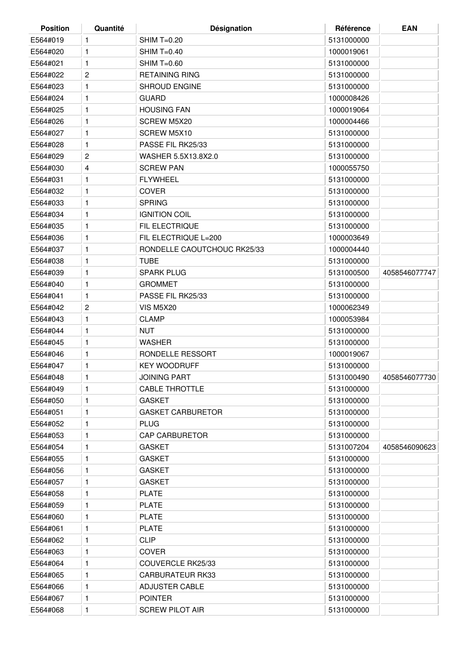| <b>Position</b> | Quantité                | Désignation                 | Référence  | <b>EAN</b>    |
|-----------------|-------------------------|-----------------------------|------------|---------------|
| E564#019        | 1                       | $SHIM T=0.20$               | 5131000000 |               |
| E564#020        | 1                       | <b>SHIM T=0.40</b>          | 1000019061 |               |
| E564#021        | 1                       | <b>SHIM T=0.60</b>          | 5131000000 |               |
| E564#022        | 2                       | <b>RETAINING RING</b>       | 5131000000 |               |
| E564#023        | 1                       | <b>SHROUD ENGINE</b>        | 5131000000 |               |
| E564#024        | 1                       | <b>GUARD</b>                | 1000008426 |               |
| E564#025        | 1                       | <b>HOUSING FAN</b>          | 1000019064 |               |
| E564#026        | 1                       | SCREW M5X20                 | 1000004466 |               |
| E564#027        | 1                       | SCREW M5X10                 | 5131000000 |               |
| E564#028        | 1                       | PASSE FIL RK25/33           | 5131000000 |               |
| E564#029        | 2                       | WASHER 5.5X13.8X2.0         | 5131000000 |               |
| E564#030        | 4                       | <b>SCREW PAN</b>            | 1000055750 |               |
| E564#031        | 1                       | <b>FLYWHEEL</b>             | 5131000000 |               |
| E564#032        | 1                       | <b>COVER</b>                | 5131000000 |               |
| E564#033        | 1                       | <b>SPRING</b>               | 5131000000 |               |
| E564#034        | 1                       | <b>IGNITION COIL</b>        | 5131000000 |               |
| E564#035        | 1                       | FIL ELECTRIQUE              | 5131000000 |               |
| E564#036        | 1                       | FIL ELECTRIQUE L=200        | 1000003649 |               |
| E564#037        | 1                       | RONDELLE CAOUTCHOUC RK25/33 | 1000004440 |               |
| E564#038        | 1                       | TUBE                        | 5131000000 |               |
| E564#039        | 1                       | <b>SPARK PLUG</b>           | 5131000500 | 4058546077747 |
| E564#040        | 1                       | <b>GROMMET</b>              | 5131000000 |               |
| E564#041        | 1                       | PASSE FIL RK25/33           | 5131000000 |               |
| E564#042        | $\overline{\mathbf{c}}$ | <b>VIS M5X20</b>            | 1000062349 |               |
| E564#043        | 1                       | <b>CLAMP</b>                | 1000053984 |               |
| E564#044        | 1                       | <b>NUT</b>                  | 5131000000 |               |
| E564#045        | 1                       | <b>WASHER</b>               | 5131000000 |               |
| E564#046        | 1                       | RONDELLE RESSORT            | 1000019067 |               |
| E564#047        | 1                       | <b>KEY WOODRUFF</b>         | 5131000000 |               |
| E564#048        | 1                       | <b>JOINING PART</b>         | 5131000490 | 4058546077730 |
| E564#049        | 1                       | <b>CABLE THROTTLE</b>       | 5131000000 |               |
| E564#050        | 1                       | <b>GASKET</b>               | 5131000000 |               |
| E564#051        | 1                       | <b>GASKET CARBURETOR</b>    | 5131000000 |               |
| E564#052        | 1                       | <b>PLUG</b>                 | 5131000000 |               |
| E564#053        | 1                       | <b>CAP CARBURETOR</b>       | 5131000000 |               |
| E564#054        | 1                       | <b>GASKET</b>               | 5131007204 | 4058546090623 |
| E564#055        | 1                       | <b>GASKET</b>               | 5131000000 |               |
| E564#056        | 1                       | <b>GASKET</b>               | 5131000000 |               |
| E564#057        | 1                       | <b>GASKET</b>               | 5131000000 |               |
| E564#058        | 1                       | <b>PLATE</b>                | 5131000000 |               |
| E564#059        | 1                       | PLATE                       | 5131000000 |               |
| E564#060        | 1                       | <b>PLATE</b>                | 5131000000 |               |
| E564#061        | 1                       | PLATE                       | 5131000000 |               |
| E564#062        | 1                       | <b>CLIP</b>                 | 5131000000 |               |
| E564#063        |                         | <b>COVER</b>                | 5131000000 |               |
|                 | 1<br>1                  | COUVERCLE RK25/33           |            |               |
| E564#064        |                         |                             | 5131000000 |               |
| E564#065        | 1                       | <b>CARBURATEUR RK33</b>     | 5131000000 |               |
| E564#066        | 1                       | <b>ADJUSTER CABLE</b>       | 5131000000 |               |
| E564#067        | 1                       | <b>POINTER</b>              | 5131000000 |               |
| E564#068        | 1                       | <b>SCREW PILOT AIR</b>      | 5131000000 |               |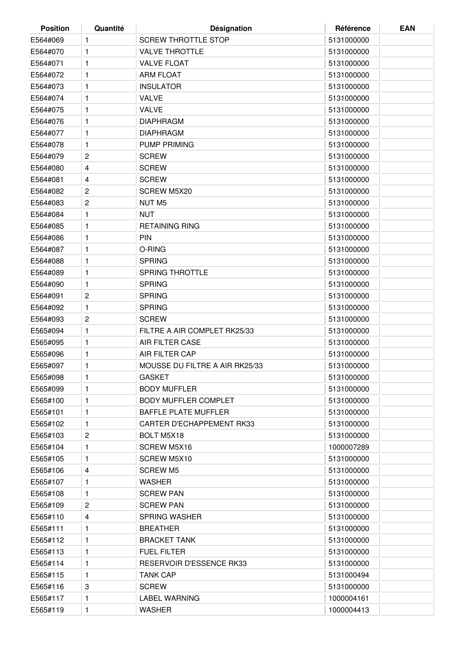| <b>Position</b> | Quantité | Désignation                      | Référence  | <b>EAN</b> |
|-----------------|----------|----------------------------------|------------|------------|
| E564#069        | 1        | <b>SCREW THROTTLE STOP</b>       | 5131000000 |            |
| E564#070        | 1        | <b>VALVE THROTTLE</b>            | 5131000000 |            |
| E564#071        | 1        | <b>VALVE FLOAT</b>               | 5131000000 |            |
| E564#072        | 1        | <b>ARM FLOAT</b>                 | 5131000000 |            |
| E564#073        | 1        | <b>INSULATOR</b>                 | 5131000000 |            |
| E564#074        | 1        | <b>VALVE</b>                     | 5131000000 |            |
| E564#075        | 1        | <b>VALVE</b>                     | 5131000000 |            |
| E564#076        | 1        | <b>DIAPHRAGM</b>                 | 5131000000 |            |
| E564#077        | 1        | <b>DIAPHRAGM</b>                 | 5131000000 |            |
| E564#078        | 1        | <b>PUMP PRIMING</b>              | 5131000000 |            |
| E564#079        | 2        | <b>SCREW</b>                     | 5131000000 |            |
| E564#080        | 4        | <b>SCREW</b>                     | 5131000000 |            |
| E564#081        | 4        | <b>SCREW</b>                     | 5131000000 |            |
| E564#082        | 2        | SCREW M5X20                      | 5131000000 |            |
| E564#083        | 2        | NUT M <sub>5</sub>               | 5131000000 |            |
| E564#084        | 1        | <b>NUT</b>                       | 5131000000 |            |
| E564#085        | 1        | <b>RETAINING RING</b>            | 5131000000 |            |
| E564#086        | 1        | <b>PIN</b>                       | 5131000000 |            |
| E564#087        | 1        | O-RING                           | 5131000000 |            |
| E564#088        | 1        | <b>SPRING</b>                    | 5131000000 |            |
| E564#089        | 1        | <b>SPRING THROTTLE</b>           | 5131000000 |            |
| E564#090        | 1        | <b>SPRING</b>                    | 5131000000 |            |
| E564#091        | 2        | <b>SPRING</b>                    | 5131000000 |            |
| E564#092        | 1        | <b>SPRING</b>                    | 5131000000 |            |
| E564#093        | 2        | <b>SCREW</b>                     | 5131000000 |            |
| E565#094        | 1        | FILTRE A AIR COMPLET RK25/33     | 5131000000 |            |
| E565#095        | 1        | AIR FILTER CASE                  | 5131000000 |            |
| E565#096        | 1        | AIR FILTER CAP                   | 5131000000 |            |
| E565#097        | 1        | MOUSSE DU FILTRE A AIR RK25/33   | 5131000000 |            |
| E565#098        | 1        | <b>GASKET</b>                    | 5131000000 |            |
| E565#099        | 1        | <b>BODY MUFFLER</b>              | 5131000000 |            |
| E565#100        | 1        | <b>BODY MUFFLER COMPLET</b>      | 5131000000 |            |
| E565#101        | 1        | <b>BAFFLE PLATE MUFFLER</b>      | 5131000000 |            |
| E565#102        | 1        | <b>CARTER D'ECHAPPEMENT RK33</b> | 5131000000 |            |
| E565#103        | 2        | BOLT M5X18                       | 5131000000 |            |
| E565#104        | 1        | SCREW M5X16                      | 1000007289 |            |
| E565#105        | 1        | SCREW M5X10                      | 5131000000 |            |
| E565#106        | 4        | <b>SCREW M5</b>                  | 5131000000 |            |
| E565#107        | 1        | WASHER                           | 5131000000 |            |
| E565#108        | 1        | <b>SCREW PAN</b>                 | 5131000000 |            |
| E565#109        | 2        | <b>SCREW PAN</b>                 | 5131000000 |            |
| E565#110        | 4        | <b>SPRING WASHER</b>             | 5131000000 |            |
| E565#111        | 1        | <b>BREATHER</b>                  | 5131000000 |            |
| E565#112        | 1        | <b>BRACKET TANK</b>              | 5131000000 |            |
| E565#113        | 1        | <b>FUEL FILTER</b>               | 5131000000 |            |
| E565#114        | 1        | RESERVOIR D'ESSENCE RK33         | 5131000000 |            |
| E565#115        | 1        | <b>TANK CAP</b>                  | 5131000494 |            |
| E565#116        | 3        | <b>SCREW</b>                     | 5131000000 |            |
| E565#117        | 1        | LABEL WARNING                    | 1000004161 |            |
| E565#119        | 1        | <b>WASHER</b>                    | 1000004413 |            |
|                 |          |                                  |            |            |